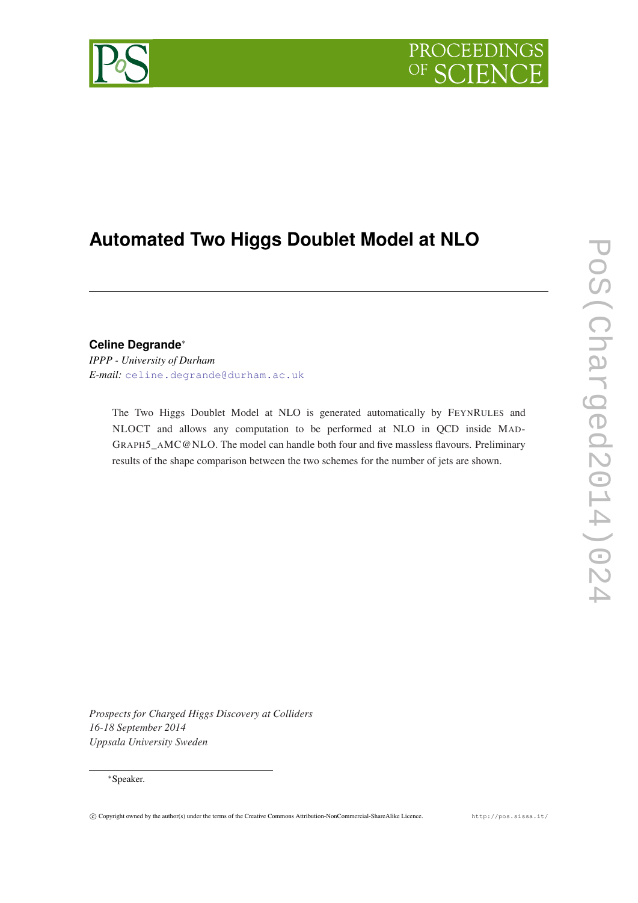

# **Automated Two Higgs Doublet Model at NLO**

## **Celine Degrande**<sup>∗</sup>

*IPPP - University of Durham E-mail:* [celine.degrande@durham.ac.uk](mailto:celine.degrande@durham.ac.uk)

> The Two Higgs Doublet Model at NLO is generated automatically by FEYNRULES and NLOCT and allows any computation to be performed at NLO in QCD inside MAD-GRAPH5\_AMC@NLO. The model can handle both four and five massless flavours. Preliminary results of the shape comparison between the two schemes for the number of jets are shown.

*Prospects for Charged Higgs Discovery at Colliders 16-18 September 2014 Uppsala University Sweden*

## <sup>∗</sup>Speaker.

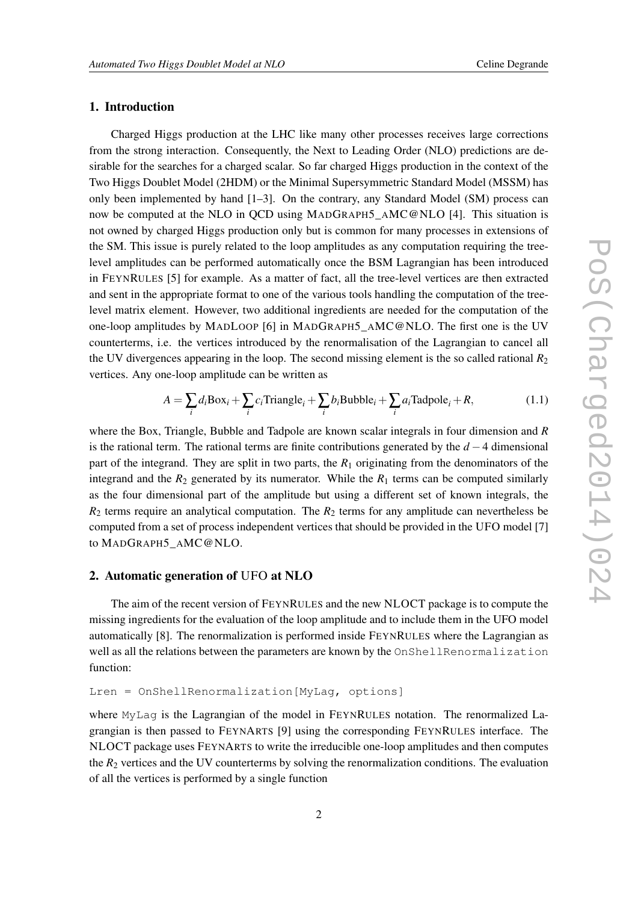## 1. Introduction

Charged Higgs production at the LHC like many other processes receives large corrections from the strong interaction. Consequently, the Next to Leading Order (NLO) predictions are desirable for the searches for a charged scalar. So far charged Higgs production in the context of the Two Higgs Doublet Model (2HDM) or the Minimal Supersymmetric Standard Model (MSSM) has only been implemented by hand [1–3]. On the contrary, any Standard Model (SM) process can now be computed at the NLO in QCD using MADGRAPH5\_AMC@NLO [4]. This situation is not owned by charged Higgs production only but is common for many processes in extensions of the SM. This issue is purely related to the loop amplitudes as any computation requiring the treelevel amplitudes can be performed automatically once the BSM Lagrangian has been introduced in FEYNRULES [5] for example. As a matter of fact, all the tree-level vertices are then extracted and sent in the appropriate format to one of the various tools handling the computation of the treelevel matrix element. However, two additional ingredients are needed for the computation of the one-loop amplitudes by MADLOOP [6] in MADGRAPH5\_AMC@NLO. The first one is the UV counterterms, i.e. the vertices introduced by the renormalisation of the Lagrangian to cancel all the UV divergences appearing in the loop. The second missing element is the so called rational  $R_2$ vertices. Any one-loop amplitude can be written as

$$
A = \sum_{i} d_i \text{Box}_i + \sum_{i} c_i \text{Triangle}_i + \sum_{i} b_i \text{Bubble}_i + \sum_{i} a_i \text{Tadpole}_i + R,\tag{1.1}
$$

where the Box, Triangle, Bubble and Tadpole are known scalar integrals in four dimension and *R* is the rational term. The rational terms are finite contributions generated by the *d* −4 dimensional part of the integrand. They are split in two parts, the *R*<sup>1</sup> originating from the denominators of the integrand and the  $R_2$  generated by its numerator. While the  $R_1$  terms can be computed similarly as the four dimensional part of the amplitude but using a different set of known integrals, the  $R_2$  terms require an analytical computation. The  $R_2$  terms for any amplitude can nevertheless be computed from a set of process independent vertices that should be provided in the UFO model [7] to MADGRAPH5\_AMC@NLO.

## 2. Automatic generation of UFO at NLO

The aim of the recent version of FEYNRULES and the new NLOCT package is to compute the missing ingredients for the evaluation of the loop amplitude and to include them in the UFO model automatically [8]. The renormalization is performed inside FEYNRULES where the Lagrangian as well as all the relations between the parameters are known by the OnShellRenormalization function:

Lren = OnShellRenormalization[MyLag, options]

where MyLag is the Lagrangian of the model in FEYNRULES notation. The renormalized Lagrangian is then passed to FEYNARTS [9] using the corresponding FEYNRULES interface. The NLOCT package uses FEYNARTS to write the irreducible one-loop amplitudes and then computes the  $R_2$  vertices and the UV counterterms by solving the renormalization conditions. The evaluation of all the vertices is performed by a single function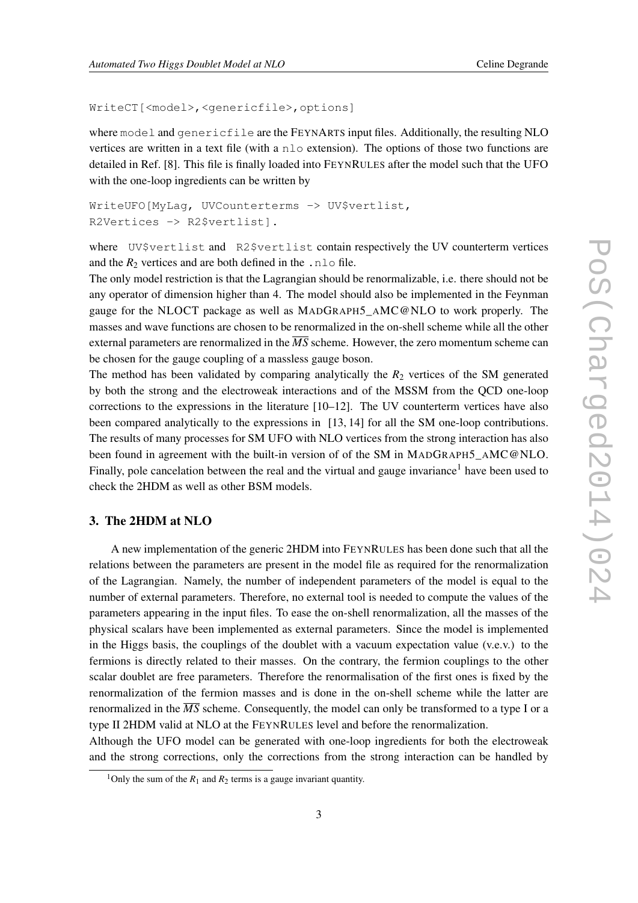#### WriteCT[<model>,<genericfile>,options]

where model and genericfile are the FEYNARTS input files. Additionally, the resulting NLO vertices are written in a text file (with a nlo extension). The options of those two functions are detailed in Ref. [8]. This file is finally loaded into FEYNRULES after the model such that the UFO with the one-loop ingredients can be written by

```
WriteUFO[MyLaq, UVCounterterms -> UV$vertlist,
R2Vertices -> R2$vertlist].
```
where UV\$vertlist and R2\$vertlist contain respectively the UV counterterm vertices and the  $R_2$  vertices and are both defined in the .nlo file.

The only model restriction is that the Lagrangian should be renormalizable, i.e. there should not be any operator of dimension higher than 4. The model should also be implemented in the Feynman gauge for the NLOCT package as well as MADGRAPH5\_AMC@NLO to work properly. The masses and wave functions are chosen to be renormalized in the on-shell scheme while all the other external parameters are renormalized in the  $\overline{MS}$  scheme. However, the zero momentum scheme can be chosen for the gauge coupling of a massless gauge boson.

The method has been validated by comparing analytically the  $R_2$  vertices of the SM generated by both the strong and the electroweak interactions and of the MSSM from the QCD one-loop corrections to the expressions in the literature [10–12]. The UV counterterm vertices have also been compared analytically to the expressions in [13, 14] for all the SM one-loop contributions. The results of many processes for SM UFO with NLO vertices from the strong interaction has also been found in agreement with the built-in version of of the SM in MADGRAPH5 AMC@NLO. Finally, pole cancelation between the real and the virtual and gauge invariance<sup>1</sup> have been used to check the 2HDM as well as other BSM models.

## 3. The 2HDM at NLO

A new implementation of the generic 2HDM into FEYNRULES has been done such that all the relations between the parameters are present in the model file as required for the renormalization of the Lagrangian. Namely, the number of independent parameters of the model is equal to the number of external parameters. Therefore, no external tool is needed to compute the values of the parameters appearing in the input files. To ease the on-shell renormalization, all the masses of the physical scalars have been implemented as external parameters. Since the model is implemented in the Higgs basis, the couplings of the doublet with a vacuum expectation value (v.e.v.) to the fermions is directly related to their masses. On the contrary, the fermion couplings to the other scalar doublet are free parameters. Therefore the renormalisation of the first ones is fixed by the renormalization of the fermion masses and is done in the on-shell scheme while the latter are renormalized in the  $\overline{MS}$  scheme. Consequently, the model can only be transformed to a type I or a type II 2HDM valid at NLO at the FEYNRULES level and before the renormalization.

Although the UFO model can be generated with one-loop ingredients for both the electroweak and the strong corrections, only the corrections from the strong interaction can be handled by

<sup>&</sup>lt;sup>1</sup>Only the sum of the  $R_1$  and  $R_2$  terms is a gauge invariant quantity.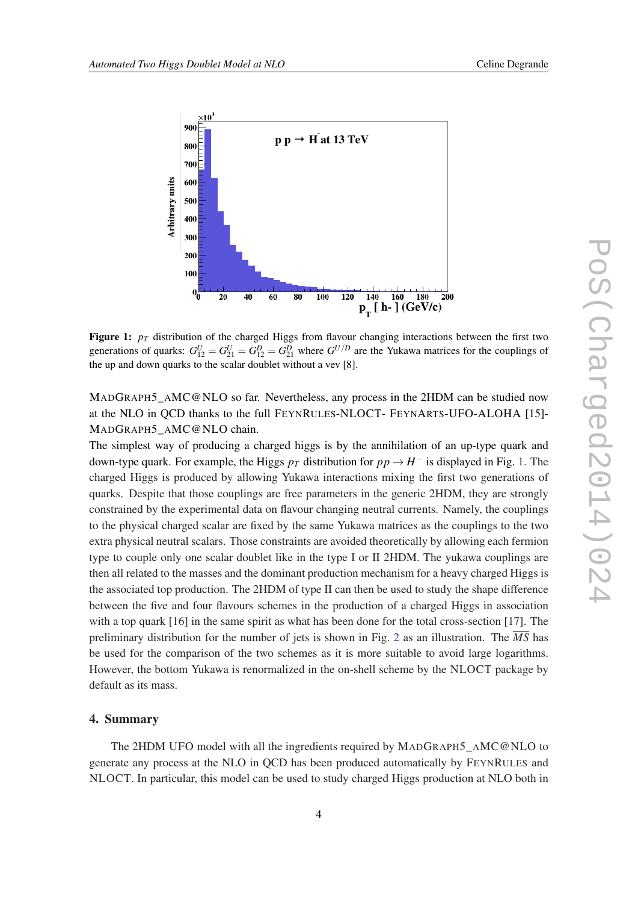

Figure 1:  $p_T$  distribution of the charged Higgs from flavour changing interactions between the first two generations of quarks:  $G_{12}^U = G_{21}^U = G_{21}^D = G_{21}^D$  where  $G^{U/D}$  are the Yukawa matrices for the couplings of the up and down quarks to the scalar doublet without a vev [8].

MADGRAPH5\_AMC@NLO so far. Nevertheless, any process in the 2HDM can be studied now at the NLO in QCD thanks to the full FEYNRULES-NLOCT- FEYNARTS-UFO-ALOHA [15]- MADGRAPH5\_AMC@NLO chain.

The simplest way of producing a charged higgs is by the annihilation of an up-type quark and down-type quark. For example, the Higgs  $p_T$  distribution for  $pp \to H^-$  is displayed in Fig. 1. The charged Higgs is produced by allowing Yukawa interactions mixing the first two generations of quarks. Despite that those couplings are free parameters in the generic 2HDM, they are strongly constrained by the experimental data on flavour changing neutral currents. Namely, the couplings to the physical charged scalar are fixed by the same Yukawa matrices as the couplings to the two extra physical neutral scalars. Those constraints are avoided theoretically by allowing each fermion type to couple only one scalar doublet like in the type I or II 2HDM. The yukawa couplings are then all related to the masses and the dominant production mechanism for a heavy charged Higgs is the associated top production. The 2HDM of type II can then be used to study the shape difference between the five and four flavours schemes in the production of a charged Higgs in association with a top quark [16] in the same spirit as what has been done for the total cross-section [17]. The preliminary distribution for the number of jets is shown in Fig. [2](#page-4-0) as an illustration. The  $\overline{MS}$  has be used for the comparison of the two schemes as it is more suitable to avoid large logarithms. However, the bottom Yukawa is renormalized in the on-shell scheme by the NLOCT package by default as its mass.

## 4. Summary

The 2HDM UFO model with all the ingredients required by MADGRAPH5\_AMC@NLO to generate any process at the NLO in QCD has been produced automatically by FEYNRULES and NLOCT. In particular, this model can be used to study charged Higgs production at NLO both in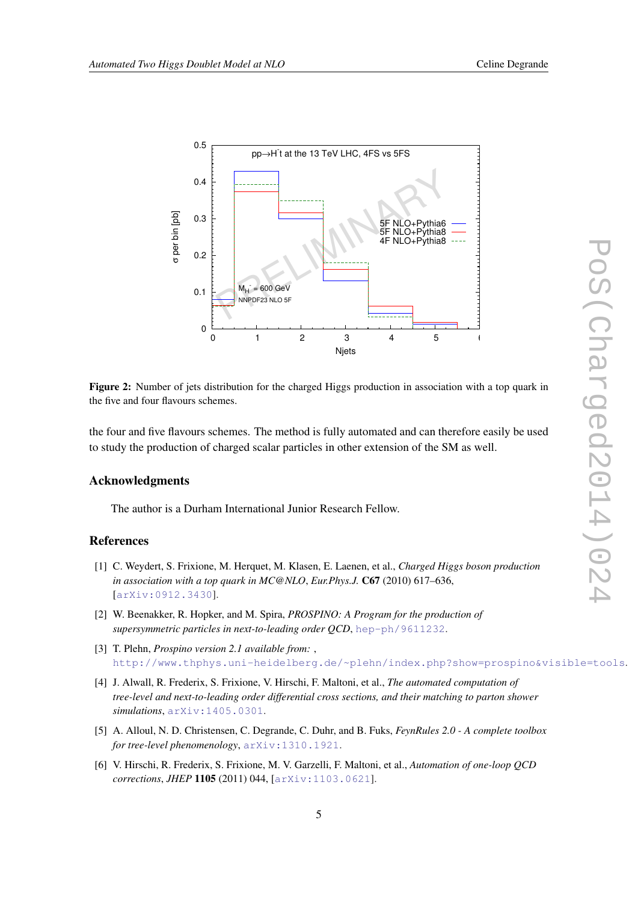<span id="page-4-0"></span>

Figure 2: Number of jets distribution for the charged Higgs production in association with a top quark in the five and four flavours schemes.

the four and five flavours schemes. The method is fully automated and can therefore easily be used to study the production of charged scalar particles in other extension of the SM as well.

#### Acknowledgments

The author is a Durham International Junior Research Fellow.

## **References**

- [1] C. Weydert, S. Frixione, M. Herquet, M. Klasen, E. Laenen, et al., *Charged Higgs boson production in association with a top quark in MC@NLO*, *Eur.Phys.J.* C67 (2010) 617–636, [[arXiv:0912.3430](http://arxiv.org/abs/0912.3430)].
- [2] W. Beenakker, R. Hopker, and M. Spira, *PROSPINO: A Program for the production of supersymmetric particles in next-to-leading order QCD*, [hep-ph/9611232](http://arxiv.org/abs/hep-ph/9611232).
- [3] T. Plehn, *Prospino version 2.1 available from:* , [http://www.thphys.uni-heidelberg.de/~plehn/index.php?show=prospino&visible=tools](http://arxiv.org/abs/http://www.thphys.uni-heidelberg.de/~plehn/index.php?show=prospino&visible=tools).
- [4] J. Alwall, R. Frederix, S. Frixione, V. Hirschi, F. Maltoni, et al., *The automated computation of tree-level and next-to-leading order differential cross sections, and their matching to parton shower simulations*, [arXiv:1405.0301](http://arxiv.org/abs/1405.0301).
- [5] A. Alloul, N. D. Christensen, C. Degrande, C. Duhr, and B. Fuks, *FeynRules 2.0 A complete toolbox for tree-level phenomenology*, [arXiv:1310.1921](http://arxiv.org/abs/1310.1921).
- [6] V. Hirschi, R. Frederix, S. Frixione, M. V. Garzelli, F. Maltoni, et al., *Automation of one-loop QCD corrections*, *JHEP* 1105 (2011) 044, [[arXiv:1103.0621](http://arxiv.org/abs/1103.0621)].